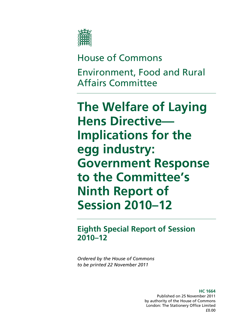

# House of Commons Environment, Food and Rural Affairs Committee

**The Welfare of Laying Hens Directive— Implications for the egg industry: Government Response to the Committee's Ninth Report of Session 2010–12** 

**Eighth Special Report of Session 2010–12** 

*Ordered by the House of Commons to be printed 22 November 2011* 

> **HC 1664**  Published on 25 November 2011 by authority of the House of Commons London: The Stationery Office Limited £0.00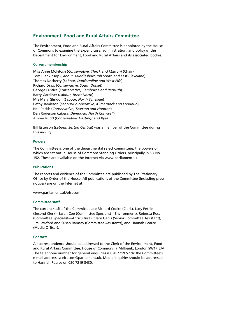#### **Environment, Food and Rural Affairs Committee**

The Environment, Food and Rural Affairs Committee is appointed by the House of Commons to examine the expenditure, administration, and policy of the Department for Environment, Food and Rural Affairs and its associated bodies.

#### **Current membership**

Miss Anne McIntosh (*Conservative, Thirsk and Malton*) (Chair) Tom Blenkinsop (*Labour, Middlesborough South and East Cleveland*) Thomas Docherty (*Labour, Dunfermline and West Fife*) Richard Drax, (*Conservative, South Dorset*) George Eustice (*Conservative, Camborne and Redruth*) Barry Gardiner (*Labour, Brent North*) Mrs Mary Glindon (*Labour, North Tyneside*) Cathy Jamieson (*Labour/Co-operative, Kilmarnock and Loudoun*) Neil Parish (*Conservative, Tiverton and Honiton*) Dan Rogerson (*Liberal Democrat, North Cornwall*) Amber Rudd (*Conservative, Hastings and Rye*)

Bill Esterson (*Labour, Sefton Central*) was a member of the Committee during this inquiry.

#### **Powers**

The Committee is one of the departmental select committees, the powers of which are set out in House of Commons Standing Orders, principally in SO No. 152. These are available on the Internet via www.parliament.uk.

#### **Publications**

The reports and evidence of the Committee are published by The Stationery Office by Order of the House. All publications of the Committee (including press notices) are on the Internet at

www.parliament.uk/efracom

#### **Committee staff**

The current staff of the Committee are Richard Cooke (Clerk), Lucy Petrie (Second Clerk), Sarah Coe (Committee Specialist—Environment), Rebecca Ross (Committee Specialist—Agriculture), Clare Genis (Senior Committee Assistant), Jim Lawford and Susan Ramsay (Committee Assistants), and Hannah Pearce (Media Officer).

#### **Contacts**

All correspondence should be addressed to the Clerk of the Environment, Food and Rural Affairs Committee, House of Commons, 7 Millbank, London SW1P 3JA. The telephone number for general enquiries is 020 7219 5774; the Committee's e-mail address is: efracom@parliament.uk. Media inquiries should be addressed to Hannah Pearce on 020 7219 8430.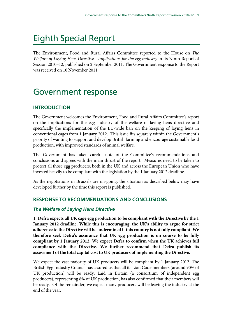## Eighth Special Report

The Environment, Food and Rural Affairs Committee reported to the House on The Welfare of Laying Hens Directive—Implications for the egg industry in its Ninth Report of Session 2010–12, published on 2 September 2011. The Government response to the Report was received on 10 November 2011.

## Government response

## **INTRODUCTION**

The Government welcomes the Environment, Food and Rural Affairs Committee's report on the implications for the egg industry of the welfare of laying hens directive and specifically the implementation of the EU-wide ban on the keeping of laying hens in conventional cages from 1 January 2012. This issue fits squarely within the Government's priority of wanting to support and develop British farming and encourage sustainable food production, with improved standards of animal welfare.

The Government has taken careful note of the Committee's recommendations and conclusions and agrees with the main thrust of the report. Measures need to be taken to protect all those egg producers, both in the UK and across the European Union who have invested heavily to be compliant with the legislation by the 1 January 2012 deadline.

As the negotiations in Brussels are on-going, the situation as described below may have developed further by the time this report is published.

## **RESPONSE TO RECOMMENDATIONS AND CONCLUSIONS**

#### *The Welfare of Laying Hens Directive*

**1. Defra expects all UK cage egg production to be compliant with the Directive by the 1 January 2012 deadline. While this is encouraging, the UK's ability to argue for strict adherence to the Directive will be undermined if this country is not fully compliant. We therefore seek Defra's assurance that UK egg production is on course to be fully compliant by 1 January 2012. We expect Defra to confirm when the UK achieves full compliance with the Directive. We further recommend that Defra publish its assessment of the total capital cost to UK producers of implementing the Directive.** 

We expect the vast majority of UK producers will be compliant by 1 January 2012. The British Egg Industry Council has assured us that all its Lion Code members (around 90% of UK production) will be ready. Laid in Britain (a consortium of independent egg producers), representing 8% of UK production, has also confirmed that their members will be ready. Of the remainder, we expect many producers will be leaving the industry at the end of the year.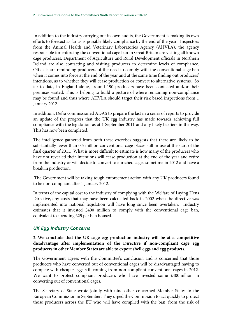In addition to the industry carrying out its own audits, the Government is making its own efforts to forecast as far as is possible likely compliance by the end of the year. Inspectors from the Animal Health and Veterinary Laboratories Agency (AHVLA), the agency responsible for enforcing the conventional cage ban in Great Britain are visiting all known cage producers. Department of Agriculture and Rural Development officials in Northern Ireland are also contacting and visiting producers to determine levels of compliance. Officials are reminding producers of the need to comply with the conventional cage ban when it comes into force at the end of the year and at the same time finding out producers' intentions, as to whether they will cease production or convert to alternative systems. So far to date, in England alone, around 190 producers have been contacted and/or their premises visited. This is helping to build a picture of where remaining non-compliance may be found and thus where AHVLA should target their risk based inspections from 1 January 2012.

In addition, Defra commissioned ADAS to prepare the last in a series of reports to provide an update of the progress that the UK egg industry has made towards achieving full compliance with the legislation as at 1 September 2011 and any likely barriers in the way. This has now been completed.

The intelligence gathered from both these exercises suggests that there are likely to be substantially fewer than 0.5 million conventional cage places still in use at the start of the final quarter of 2011. What is more difficult to estimate is how many of the producers who have not revealed their intentions will cease production at the end of the year and retire from the industry or will decide to convert to enriched cages sometime in 2012 and have a break in production.

 The Government will be taking tough enforcement action with any UK producers found to be non-compliant after 1 January 2012.

In terms of the capital cost to the industry of complying with the Welfare of Laying Hens Directive, any costs that may have been calculated back in 2002 when the directive was implemented into national legislation will have long since been overtaken. Industry estimates that it invested £400 million to comply with the conventional cage ban, equivalent to spending £25 per hen housed.

#### *UK Egg Industry Concerns*

#### **2. We conclude that the UK cage egg production industry will be at a competitive disadvantage after implementation of the Directive if non-compliant cage egg producers in other Member States are able to export shell eggs and egg products.**

The Government agrees with the Committee's conclusion and is concerned that those producers who have converted out of conventional cages will be disadvantaged having to compete with cheaper eggs still coming from non-compliant conventional cages in 2012. We want to protect compliant producers who have invested some £400million in converting out of conventional cages.

The Secretary of State wrote jointly with nine other concerned Member States to the European Commission in September. They urged the Commission to act quickly to protect those producers across the EU who will have complied with the ban, from the risk of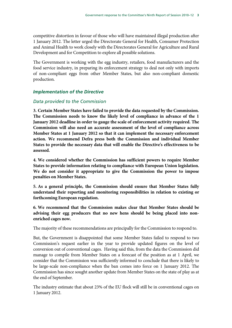competitive distortion in favour of those who will have maintained illegal production after 1 January 2012. The letter urged the Directorate General for Health, Consumer Protection and Animal Health to work closely with the Directorates General for Agriculture and Rural Development and for Competition to explore all possible solutions.

The Government is working with the egg industry, retailers, food manufacturers and the food service industry, in preparing its enforcement strategy to deal not only with imports of non-compliant eggs from other Member States, but also non-compliant domestic production.

#### *Implementation of the Directive*

#### *Data provided to the Commission*

**3. Certain Member States have failed to provide the data requested by the Commission. The Commission needs to know the likely level of compliance in advance of the 1 January 2012 deadline in order to gauge the scale of enforcement activity required. The Commission will also need an accurate assessment of the level of compliance across Member States at 1 January 2012 so that it can implement the necessary enforcement action. We recommend Defra press both the Commission and individual Member States to provide the necessary data that will enable the Directive's effectiveness to be assessed.** 

**4. We considered whether the Commission has sufficient powers to require Member States to provide information relating to compliance with European Union legislation. We do not consider it appropriate to give the Commission the power to impose penalties on Member States.** 

**5. As a general principle, the Commission should ensure that Member States fully understand their reporting and monitoring responsibilities in relation to existing or forthcoming European regulation.** 

**6. We recommend that the Commission makes clear that Member States should be advising their egg producers that no new hens should be being placed into nonenriched cages now.** 

The majority of these recommendations are principally for the Commission to respond to.

But, the Government is disappointed that some Member States failed to respond to two Commission's request earlier in the year to provide updated figures on the level of conversion out of conventional cages. Having said this, from the data the Commission did manage to compile from Member States on a forecast of the position as at 1 April, we consider that the Commission was sufficiently informed to conclude that there is likely to be large-scale non-compliance when the ban comes into force on 1 January 2012. The Commission has since sought another update from Member States on the state of play as at the end of September.

The industry estimate that about 23% of the EU flock will still be in conventional cages on 1 January 2012.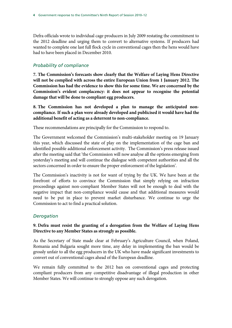Defra officials wrote to individual cage producers in July 2009 restating the commitment to the 2012 deadline and urging them to convert to alternative systems. If producers had wanted to complete one last full flock cycle in conventional cages then the hens would have had to have been placed in December 2010.

## *Probability of compliance*

**7. The Commission's forecasts show clearly that the Welfare of Laying Hens Directive will not be complied with across the entire European Union from 1 January 2012. The Commission has had the evidence to show this for some time. We are concerned by the Commission's evident complacency: it does not appear to recognise the potential damage that will be done to compliant egg producers.** 

**8. The Commission has not developed a plan to manage the anticipated noncompliance. If such a plan were already developed and publicised it would have had the additional benefit of acting as a deterrent to non-compliance.** 

These recommendations are principally for the Commission to respond to.

The Government welcomed the Commission's multi-stakeholder meeting on 19 January this year, which discussed the state of play on the implementation of the cage ban and identified possible additional enforcement activity. The Commission's press release issued after the meeting said that 'the Commission will now analyse all the options emerging from yesterday's meeting and will continue the dialogue with competent authorities and all the sectors concerned in order to ensure the proper enforcement of the legislation'.

The Commission's inactivity is not for want of trying by the UK. We have been at the forefront of efforts to convince the Commission that simply relying on infraction proceedings against non-compliant Member States will not be enough to deal with the negative impact that non-compliance would cause and that additional measures would need to be put in place to prevent market disturbance. We continue to urge the Commission to act to find a practical solution.

## *Derogation*

#### **9. Defra must resist the granting of a derogation from the Welfare of Laying Hens Directive to any Member States as strongly as possible.**

As the Secretary of State made clear at February's Agriculture Council, when Poland, Romania and Bulgaria sought more time, any delay in implementing the ban would be grossly unfair to all the egg producers in the UK who have made significant investments to convert out of conventional cages ahead of the European deadline.

We remain fully committed to the 2012 ban on conventional cages and protecting compliant producers from any competitive disadvantage of illegal production in other Member States. We will continue to strongly oppose any such derogation.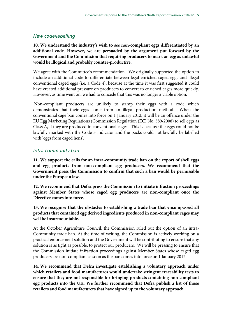#### *New code/labelling*

**10. We understand the industry's wish to see non-compliant eggs differentiated by an additional code. However, we are persuaded by the argument put forward by the Government and the Commission that requiring producers to mark an egg as unlawful would be illogical and probably counter-productive.** 

We agree with the Committee's recommendation. We originally supported the option to include an additional code to differentiate between legal enriched caged eggs and illegal conventional caged eggs (i.e. a Code 4), because at the time it was first suggested it could have created additional pressure on producers to convert to enriched cages more quickly. However, as time went on, we had to concede that this was no longer a viable option.

 Non-compliant producers are unlikely to stamp their eggs with a code which demonstrates that their eggs come from an illegal production method. When the conventional cage ban comes into force on 1 January 2012, it will be an offence under the EU Egg Marketing Regulations (Commission Regulation (EC) No. 589/2008) to sell eggs as Class A, if they are produced in conventional cages. This is because the eggs could not be lawfully marked with the Code 3 indicator and the packs could not lawfully be labelled with 'eggs from caged hens'.

#### *Intra-community ban*

**11. We support the calls for an intra-community trade ban on the export of shell eggs and egg products from non-compliant egg producers. We recommend that the Government press the Commission to confirm that such a ban would be permissible under the European law.** 

**12. We recommend that Defra press the Commission to initiate infraction proceedings against Member States whose caged egg producers are non-compliant once the Directive comes into force.** 

**13. We recognise that the obstacles to establishing a trade ban that encompassed all products that contained egg derived ingredients produced in non-compliant cages may well be insurmountable.** 

At the October Agriculture Council, the Commission ruled out the option of an intra-Community trade ban. At the time of writing, the Commission is actively working on a practical enforcement solution and the Government will be contributing to ensure that any solution is as tight as possible, to protect our producers. We will be pressing to ensure that the Commission initiate infraction proceedings against Member States whose caged egg producers are non-compliant as soon as the ban comes into force on 1 January 2012.

**14. We recommend that Defra investigate establishing a voluntary approach under which retailers and food manufactures would undertake stringent traceability tests to ensure that they are not responsible for bringing products containing non-compliant egg products into the UK. We further recommend that Defra publish a list of those retailers and food manufacturers that have signed up to the voluntary approach.**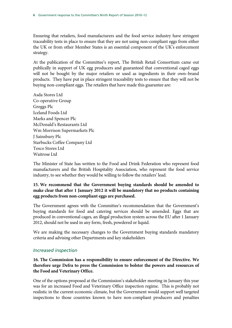Ensuring that retailers, food manufacturers and the food service industry have stringent traceability tests in place to ensure that they are not using non-compliant eggs from either the UK or from other Member States is an essential component of the UK's enforcement strategy.

At the publication of the Committee's report, The British Retail Consortium came out publically in support of UK egg producers and guaranteed that conventional caged eggs will not be bought by the major retailers or used as ingredients in their own–brand products. They have put in place stringent traceability tests to ensure that they will not be buying non-compliant eggs. The retailers that have made this guarantee are:

Asda Stores Ltd Co-operative Group Greggs Plc Iceland Foods Ltd Marks and Spencer Plc McDonald's Restaurants Ltd Wm Morrison Supermarkets Plc J Sainsbury Plc Starbucks Coffee Company Ltd Tesco Stores Ltd Waitrose Ltd

The Minister of State has written to the Food and Drink Federation who represent food manufacturers and the British Hospitality Association, who represent the food service industry, to see whether they would be willing to follow the retailers' lead.

### **15. We recommend that the Government buying standards should be amended to make clear that after 1 January 2012 it will be mandatory that no products containing egg products from non-compliant eggs are purchased.**

The Government agrees with the Committee's recommendation that the Government's buying standards for food and catering services should be amended. Eggs that are produced in conventional cages, an illegal production system across the EU after 1 January 2012, should not be used in any form, fresh, powdered or liquid.

We are making the necessary changes to the Government buying standards mandatory criteria and advising other Departments and key stakeholders

#### *Increased inspection*

**16. The Commission has a responsibility to ensure enforcement of the Directive. We therefore urge Defra to press the Commission to bolster the powers and resources of the Food and Veterinary Office.** 

One of the options proposed at the Commission's stakeholder meeting in January this year was for an increased Food and Veterinary Office inspection regime. This is probably not realistic in the current economic climate, but the Government would support well targeted inspections to those countries known to have non-compliant producers and penalties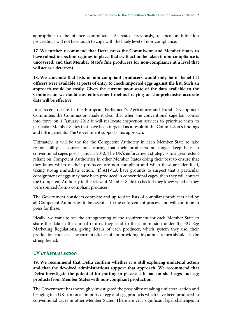appropriate to the offence committed. As stated previously, reliance on infraction proceedings will not be enough to cope with the likely level of non-compliance.

**17. We further recommend that Defra press the Commission and Member States to have robust inspection regimes in place, that swift action be taken if non-compliance is uncovered, and that Member State's fine producers for non-compliance at a level that will act as a deterrent.** 

**18. We conclude that lists of non-compliant producers would only be of benefit if officers were available at ports of entry to check imported eggs against the list. Such an approach would be costly. Given the current poor state of the data available to the Commission we doubt any enforcement method relying on comprehensive accurate data will be effective** 

In a recent debate in the European Parliament's Agriculture and Rural Development Committee, the Commission made it clear that when the conventional cage ban comes into force on 1 January 2012 it will reallocate inspection services to prioritise visits to particular Member States that have been targeted as a result of the Commission's findings and infringements. The Government supports this approach.

Ultimately, it will be the for the Competent Authority in each Member State to take responsibility at source for ensuring that their producers no longer keep hens in conventional cages post 1 January 2012. The UK's enforcement strategy is to a great extent reliant on Competent Authorities in other Member States doing their best to ensure that they know which of their producers are non-compliant and when these are identified, taking strong immediate action. If AHVLA have grounds to suspect that a particular consignment of eggs may have been produced in conventional cages, then they will contact the Competent Authority in the relevant Member State to check if they knew whether they were sourced from a compliant producer.

The Government considers complete and up to date lists of compliant producers held by all Competent Authorities to be essential to the enforcement process and will continue to press for these.

Ideally, we want to see the strengthening of the requirement for each Member State to share the data in the annual returns they send to the Commission under the EU Egg Marketing Regulations, giving details of each producer, which system they use, their production code etc. The current offence of not providing this annual return should also be strengthened.

#### *UK unilateral action*

**19. We recommend that Defra confirm whether it is still exploring unilateral action and that the devolved administrations support that approach. We recommend that Defra investigate the potential for putting in place a UK ban on shell eggs and egg products from Member States with non-compliant production.** 

The Government has thoroughly investigated the possibility of taking unilateral action and bringing in a UK ban on all imports of egg and egg products which have been produced in conventional cages in other Member States. There are very significant legal challenges in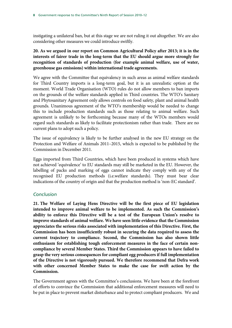instigating a unilateral ban, but at this stage we are not ruling it out altogether. We are also considering other measures we could introduce swiftly.

### **20. As we argued in our report on Common Agricultural Policy after 2013; it is in the interests of fairer trade in the long-term that the EU should argue more strongly for recognition of standards of production (for example animal welfare, use of water, greenhouse gas emissions) within international trade agreements.**

We agree with the Committee that equivalency in such areas as animal welfare standards for Third Country imports is a long-term goal, but it is an unrealistic option at the moment. World Trade Organisation (WTO) rules do not allow members to ban imports on the grounds of the welfare standards applied in Third countries. The WTO's Sanitary and Phytosanitary Agreement only allows controls on food safety, plant and animal health grounds. Unanimous agreement of the WTO's membership would be needed to change this to include production standards such as those relating to animal welfare. Such agreement is unlikely to be forthcoming because many of the WTOs members would regard such standards as likely to facilitate protectionism rather than trade. There are no current plans to adopt such a policy.

The issue of equivalency is likely to be further analysed in the new EU strategy on the Protection and Welfare of Animals 2011–2015, which is expected to be published by the Commission in December 2011.

Eggs imported from Third Countries, which have been produced in systems which have not achieved 'equivalence' to EU standards may still be marketed in the EU. However, the labelling of packs and marking of eggs cannot indicate they comply with any of the recognised EU production methods (i.e.welfare standards). They must bear clear indications of the country of origin and that the production method is 'non-EC standard'.

#### *Conclusion*

**21. The Welfare of Laying Hens Directive will be the first piece of EU legislation intended to improve animal welfare to be implemented. As such the Commission's ability to enforce this Directive will be a test of the European Union's resolve to improve standards of animal welfare. We have seen little evidence that the Commission appreciates the serious risks associated with implementation of this Directive. First, the Commission has been insufficiently robust in securing the data required to assess the current trajectory to compliance. Second, the Commission has also shown little enthusiasm for establishing tough enforcement measures in the face of certain noncompliance by several Member States. Third the Commission appears to have failed to grasp the very serious consequences for compliant egg producers if full implementation of the Directive is not vigorously pursued. We therefore recommend that Defra work with other concerned Member States to make the case for swift action by the Commission.** 

The Government agrees with the Committee's conclusions. We have been at the forefront of efforts to convince the Commission that additional enforcement measures will need to be put in place to prevent market disturbance and to protect compliant producers. We and